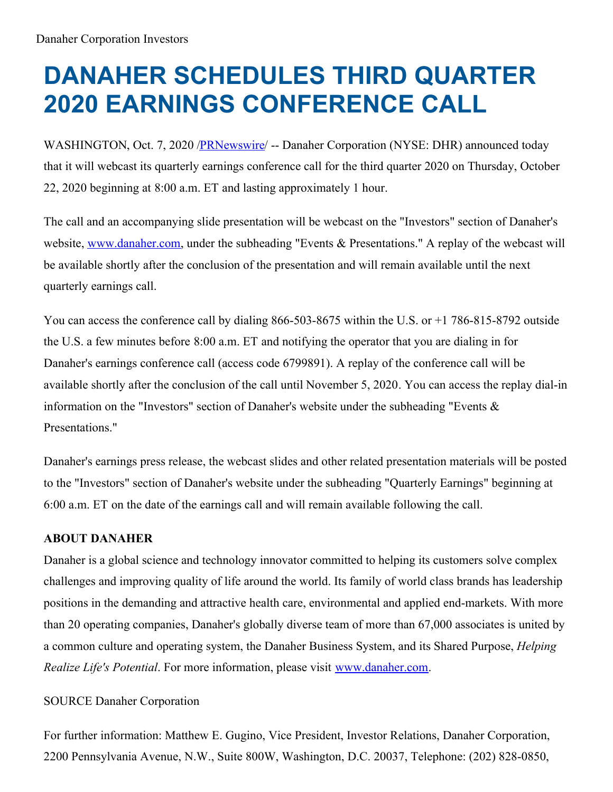## **DANAHER SCHEDULES THIRD QUARTER 2020 EARNINGS CONFERENCE CALL**

WASHINGTON, Oct. 7, 2020 [/PRNewswire](http://www.prnewswire.com/)/ -- Danaher Corporation (NYSE: DHR) announced today that it will webcast its quarterly earnings conference call for the third quarter 2020 on Thursday, October 22, 2020 beginning at 8:00 a.m. ET and lasting approximately 1 hour.

The call and an accompanying slide presentation will be webcast on the "Investors" section of Danaher's website, [www.danaher.com](https://c212.net/c/link/?t=0&l=en&o=2943143-1&h=463918458&u=http%3A%2F%2Fwww.danaher.com%2F&a=www.danaher.com), under the subheading "Events & Presentations." A replay of the webcast will be available shortly after the conclusion of the presentation and will remain available until the next quarterly earnings call.

You can access the conference call by dialing 866-503-8675 within the U.S. or +1 786-815-8792 outside the U.S. a few minutes before 8:00 a.m. ET and notifying the operator that you are dialing in for Danaher's earnings conference call (access code 6799891). A replay of the conference call will be available shortly after the conclusion of the call until November 5, 2020. You can access the replay dial-in information on the "Investors" section of Danaher's website under the subheading "Events & Presentations."

Danaher's earnings press release, the webcast slides and other related presentation materials will be posted to the "Investors" section of Danaher's website under the subheading "Quarterly Earnings" beginning at 6:00 a.m. ET on the date of the earnings call and will remain available following the call.

## **ABOUT DANAHER**

Danaher is a global science and technology innovator committed to helping its customers solve complex challenges and improving quality of life around the world. Its family of world class brands has leadership positions in the demanding and attractive health care, environmental and applied end-markets. With more than 20 operating companies, Danaher's globally diverse team of more than 67,000 associates is united by a common culture and operating system, the Danaher Business System, and its Shared Purpose, *Helping Realize Life's Potential*. For more information, please visit [www.danaher.com](https://c212.net/c/link/?t=0&l=en&o=2943143-1&h=463918458&u=http%3A%2F%2Fwww.danaher.com%2F&a=www.danaher.com).

## SOURCE Danaher Corporation

For further information: Matthew E. Gugino, Vice President, Investor Relations, Danaher Corporation, 2200 Pennsylvania Avenue, N.W., Suite 800W, Washington, D.C. 20037, Telephone: (202) 828-0850,